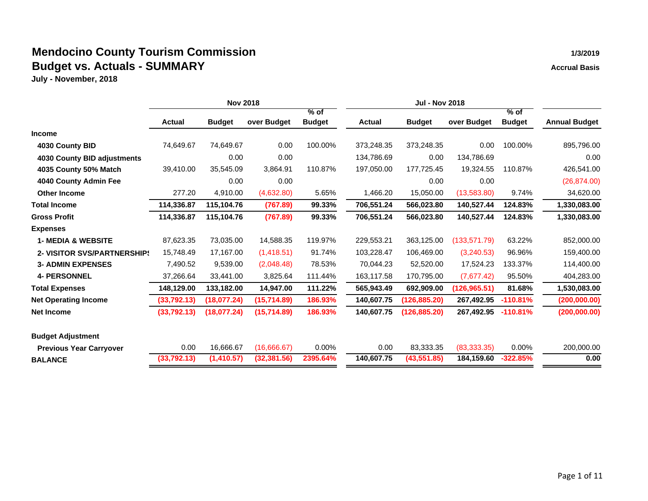|                                    |               | <b>Nov 2018</b> |              |               |               | <b>Jul - Nov 2018</b> |               |               |                      |  |  |  |
|------------------------------------|---------------|-----------------|--------------|---------------|---------------|-----------------------|---------------|---------------|----------------------|--|--|--|
|                                    |               |                 |              | $%$ of        |               |                       |               | $%$ of        |                      |  |  |  |
|                                    | <b>Actual</b> | <b>Budget</b>   | over Budget  | <b>Budget</b> | <b>Actual</b> | <b>Budget</b>         | over Budget   | <b>Budget</b> | <b>Annual Budget</b> |  |  |  |
| <b>Income</b>                      |               |                 |              |               |               |                       |               |               |                      |  |  |  |
| 4030 County BID                    | 74,649.67     | 74,649.67       | 0.00         | 100.00%       | 373,248.35    | 373,248.35            | 0.00          | 100.00%       | 895,796.00           |  |  |  |
| 4030 County BID adjustments        |               | 0.00            | 0.00         |               | 134,786.69    | 0.00                  | 134,786.69    |               | 0.00                 |  |  |  |
| 4035 County 50% Match              | 39,410.00     | 35,545.09       | 3,864.91     | 110.87%       | 197,050.00    | 177,725.45            | 19,324.55     | 110.87%       | 426,541.00           |  |  |  |
| 4040 County Admin Fee              |               | 0.00            | 0.00         |               |               | 0.00                  | 0.00          |               | (26, 874.00)         |  |  |  |
| <b>Other Income</b>                | 277.20        | 4,910.00        | (4,632.80)   | 5.65%         | 1,466.20      | 15,050.00             | (13,583.80)   | 9.74%         | 34,620.00            |  |  |  |
| <b>Total Income</b>                | 114,336.87    | 115,104.76      | (767.89)     | 99.33%        | 706,551.24    | 566,023.80            | 140,527.44    | 124.83%       | 1,330,083.00         |  |  |  |
| <b>Gross Profit</b>                | 114,336.87    | 115,104.76      | (767.89)     | 99.33%        | 706,551.24    | 566,023.80            | 140,527.44    | 124.83%       | 1,330,083.00         |  |  |  |
| <b>Expenses</b>                    |               |                 |              |               |               |                       |               |               |                      |  |  |  |
| <b>1- MEDIA &amp; WEBSITE</b>      | 87,623.35     | 73,035.00       | 14,588.35    | 119.97%       | 229,553.21    | 363,125.00            | (133, 571.79) | 63.22%        | 852,000.00           |  |  |  |
| <b>2- VISITOR SVS/PARTNERSHIP!</b> | 15,748.49     | 17,167.00       | (1,418.51)   | 91.74%        | 103,228.47    | 106,469.00            | (3,240.53)    | 96.96%        | 159,400.00           |  |  |  |
| <b>3- ADMIN EXPENSES</b>           | 7,490.52      | 9,539.00        | (2,048.48)   | 78.53%        | 70,044.23     | 52,520.00             | 17,524.23     | 133.37%       | 114,400.00           |  |  |  |
| <b>4- PERSONNEL</b>                | 37,266.64     | 33,441.00       | 3,825.64     | 111.44%       | 163,117.58    | 170,795.00            | (7,677.42)    | 95.50%        | 404,283.00           |  |  |  |
| <b>Total Expenses</b>              | 148,129.00    | 133,182.00      | 14,947.00    | 111.22%       | 565,943.49    | 692,909.00            | (126, 965.51) | 81.68%        | 1,530,083.00         |  |  |  |
| <b>Net Operating Income</b>        | (33,792.13)   | (18,077.24)     | (15, 714.89) | 186.93%       | 140,607.75    | (126, 885.20)         | 267,492.95    | $-110.81%$    | (200, 000.00)        |  |  |  |
| <b>Net Income</b>                  | (33,792.13)   | (18,077.24)     | (15,714.89)  | 186.93%       | 140,607.75    | (126,885.20)          | 267,492.95    | $-110.81%$    | (200,000.00)         |  |  |  |
| <b>Budget Adjustment</b>           |               |                 |              |               |               |                       |               |               |                      |  |  |  |
| <b>Previous Year Carryover</b>     | 0.00          | 16,666.67       | (16,666.67)  | $0.00\%$      | 0.00          | 83,333.35             | (83, 333.35)  | 0.00%         | 200,000.00           |  |  |  |
| <b>BALANCE</b>                     | (33, 792.13)  | (1,410.57)      | (32, 381.56) | 2395.64%      | 140,607.75    | (43, 551.85)          | 184,159.60    | $-322.85%$    | 0.00                 |  |  |  |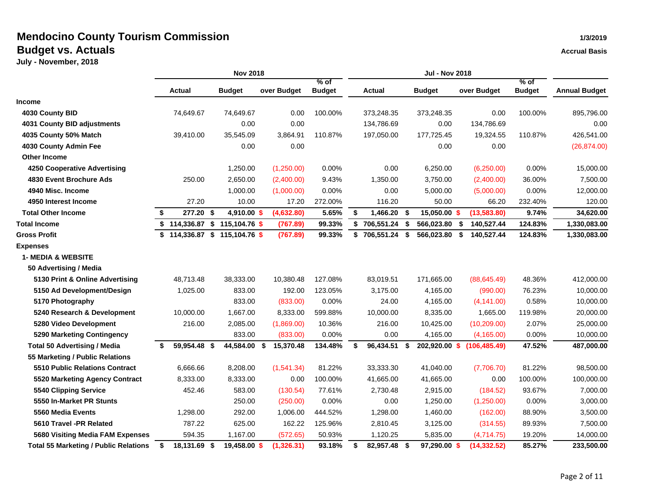|                                              |                    | <b>Nov 2018</b>                 |                 |                         |                     |                     |                  |                         |                      |
|----------------------------------------------|--------------------|---------------------------------|-----------------|-------------------------|---------------------|---------------------|------------------|-------------------------|----------------------|
|                                              | Actual             | <b>Budget</b>                   | over Budget     | $%$ of<br><b>Budget</b> | <b>Actual</b>       | <b>Budget</b>       | over Budget      | $%$ of<br><b>Budget</b> | <b>Annual Budget</b> |
| <b>Income</b>                                |                    |                                 |                 |                         |                     |                     |                  |                         |                      |
| 4030 County BID                              | 74,649.67          | 74,649.67                       | 0.00            | 100.00%                 | 373,248.35          | 373,248.35          | 0.00             | 100.00%                 | 895,796.00           |
| 4031 County BID adjustments                  |                    | 0.00                            | 0.00            |                         | 134,786.69          | 0.00                | 134,786.69       |                         | 0.00                 |
| 4035 County 50% Match                        | 39,410.00          | 35,545.09                       | 3,864.91        | 110.87%                 | 197,050.00          | 177,725.45          | 19,324.55        | 110.87%                 | 426,541.00           |
| 4030 County Admin Fee                        |                    | 0.00                            | 0.00            |                         |                     | 0.00                | 0.00             |                         | (26, 874.00)         |
| <b>Other Income</b>                          |                    |                                 |                 |                         |                     |                     |                  |                         |                      |
| 4250 Cooperative Advertising                 |                    | 1,250.00                        | (1,250.00)      | 0.00%                   | 0.00                | 6,250.00            | (6,250.00)       | 0.00%                   | 15,000.00            |
| 4830 Event Brochure Ads                      | 250.00             | 2,650.00                        | (2,400.00)      | 9.43%                   | 1,350.00            | 3,750.00            | (2,400.00)       | 36.00%                  | 7,500.00             |
| 4940 Misc. Income                            |                    | 1,000.00                        | (1,000.00)      | 0.00%                   | 0.00                | 5,000.00            | (5,000.00)       | 0.00%                   | 12,000.00            |
| 4950 Interest Income                         | 27.20              | 10.00                           | 17.20           | 272.00%                 | 116.20              | 50.00               | 66.20            | 232.40%                 | 120.00               |
| <b>Total Other Income</b>                    | \$<br>277.20 \$    | 4,910.00 \$                     | (4,632.80)      | 5.65%                   | \$<br>1,466.20 \$   | 15,050.00 \$        | (13,583.80)      | 9.74%                   | 34,620.00            |
| <b>Total Income</b>                          |                    | $$114,336.87$ $$115,104.76$ $$$ | (767.89)        | 99.33%                  | $$706,551.24$ \$    | 566,023.80          | 140,527.44<br>\$ | 124.83%                 | 1,330,083.00         |
| <b>Gross Profit</b>                          |                    | $$114,336.87$ $$115,104.76$ \$  | (767.89)        | 99.33%                  | \$<br>706,551.24 \$ | 566,023.80          | 140,527.44<br>S. | 124.83%                 | 1,330,083.00         |
| <b>Expenses</b>                              |                    |                                 |                 |                         |                     |                     |                  |                         |                      |
| <b>1- MEDIA &amp; WEBSITE</b>                |                    |                                 |                 |                         |                     |                     |                  |                         |                      |
| 50 Advertising / Media                       |                    |                                 |                 |                         |                     |                     |                  |                         |                      |
| 5130 Print & Online Advertising              | 48,713.48          | 38,333.00                       | 10,380.48       | 127.08%                 | 83,019.51           | 171,665.00          | (88, 645.49)     | 48.36%                  | 412,000.00           |
| 5150 Ad Development/Design                   | 1,025.00           | 833.00                          | 192.00          | 123.05%                 | 3,175.00            | 4,165.00            | (990.00)         | 76.23%                  | 10,000.00            |
| 5170 Photography                             |                    | 833.00                          | (833.00)        | 0.00%                   | 24.00               | 4,165.00            | (4, 141.00)      | 0.58%                   | 10,000.00            |
| 5240 Research & Development                  | 10,000.00          | 1,667.00                        | 8,333.00        | 599.88%                 | 10,000.00           | 8,335.00            | 1,665.00         | 119.98%                 | 20,000.00            |
| 5280 Video Development                       | 216.00             | 2,085.00                        | (1,869.00)      | 10.36%                  | 216.00              | 10,425.00           | (10, 209.00)     | 2.07%                   | 25,000.00            |
| 5290 Marketing Contingency                   |                    | 833.00                          | (833.00)        | 0.00%                   | 0.00                | 4,165.00            | (4, 165.00)      | 0.00%                   | 10,000.00            |
| <b>Total 50 Advertising / Media</b>          | 59,954.48 \$<br>\$ | 44,584.00                       | 15,370.48<br>\$ | 134.48%                 | \$<br>96,434.51     | \$<br>202,920.00 \$ | (106, 485.49)    | 47.52%                  | 487,000.00           |
| 55 Marketing / Public Relations              |                    |                                 |                 |                         |                     |                     |                  |                         |                      |
| 5510 Public Relations Contract               | 6,666.66           | 8,208.00                        | (1,541.34)      | 81.22%                  | 33,333.30           | 41,040.00           | (7,706.70)       | 81.22%                  | 98,500.00            |
| 5520 Marketing Agency Contract               | 8,333.00           | 8,333.00                        | 0.00            | 100.00%                 | 41,665.00           | 41,665.00           | 0.00             | 100.00%                 | 100,000.00           |
| 5540 Clipping Service                        | 452.46             | 583.00                          | (130.54)        | 77.61%                  | 2,730.48            | 2,915.00            | (184.52)         | 93.67%                  | 7,000.00             |
| 5550 In-Market PR Stunts                     |                    | 250.00                          | (250.00)        | 0.00%                   | 0.00                | 1,250.00            | (1,250.00)       | 0.00%                   | 3,000.00             |
| 5560 Media Events                            | 1,298.00           | 292.00                          | 1,006.00        | 444.52%                 | 1,298.00            | 1,460.00            | (162.00)         | 88.90%                  | 3,500.00             |
| 5610 Travel -PR Related                      | 787.22             | 625.00                          | 162.22          | 125.96%                 | 2,810.45            | 3,125.00            | (314.55)         | 89.93%                  | 7,500.00             |
| 5680 Visiting Media FAM Expenses             | 594.35             | 1,167.00                        | (572.65)        | 50.93%                  | 1,120.25            | 5,835.00            | (4,714.75)       | 19.20%                  | 14,000.00            |
| <b>Total 55 Marketing / Public Relations</b> | 18,131.69 \$<br>\$ | 19,458.00 \$                    | (1,326.31)      | 93.18%                  | \$<br>82,957.48 \$  | 97,290.00 \$        | (14, 332.52)     | 85.27%                  | 233,500.00           |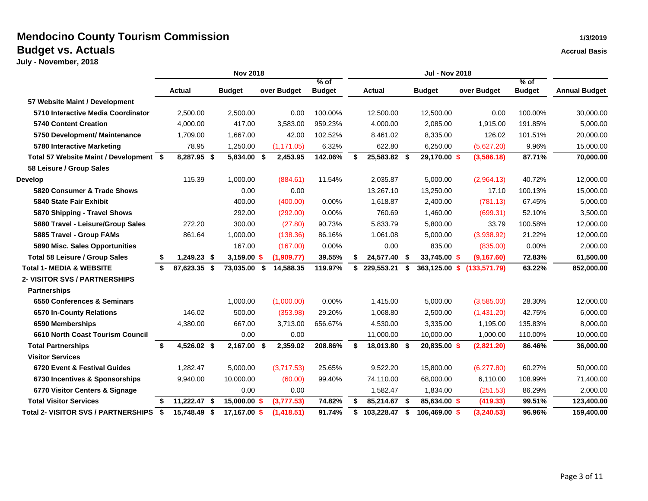|                                            |        | <b>Nov 2018</b> |  |               |     |             |                         |    |               | <b>Jul - Nov 2018</b> |               |  |               |                         |                      |  |
|--------------------------------------------|--------|-----------------|--|---------------|-----|-------------|-------------------------|----|---------------|-----------------------|---------------|--|---------------|-------------------------|----------------------|--|
|                                            | Actual |                 |  | <b>Budget</b> |     | over Budget | $%$ of<br><b>Budget</b> |    | <b>Actual</b> |                       | <b>Budget</b> |  | over Budget   | $%$ of<br><b>Budget</b> | <b>Annual Budget</b> |  |
| 57 Website Maint / Development             |        |                 |  |               |     |             |                         |    |               |                       |               |  |               |                         |                      |  |
| 5710 Interactive Media Coordinator         |        | 2,500.00        |  | 2,500.00      |     | 0.00        | 100.00%                 |    | 12,500.00     |                       | 12,500.00     |  | 0.00          | 100.00%                 | 30,000.00            |  |
| <b>5740 Content Creation</b>               |        | 4,000.00        |  | 417.00        |     | 3,583.00    | 959.23%                 |    | 4,000.00      |                       | 2,085.00      |  | 1,915.00      | 191.85%                 | 5,000.00             |  |
| 5750 Development/ Maintenance              |        | 1.709.00        |  | 1.667.00      |     | 42.00       | 102.52%                 |    | 8.461.02      |                       | 8,335.00      |  | 126.02        | 101.51%                 | 20,000.00            |  |
| 5780 Interactive Marketing                 |        | 78.95           |  | 1,250.00      |     | (1, 171.05) | 6.32%                   |    | 622.80        |                       | 6,250.00      |  | (5,627.20)    | 9.96%                   | 15,000.00            |  |
| Total 57 Website Maint / Development \$    |        | 8,287.95 \$     |  | 5,834.00 \$   |     | 2,453.95    | 142.06%                 | \$ | 25,583.82 \$  |                       | 29,170.00 \$  |  | (3,586.18)    | 87.71%                  | 70,000.00            |  |
| 58 Leisure / Group Sales                   |        |                 |  |               |     |             |                         |    |               |                       |               |  |               |                         |                      |  |
| <b>Develop</b>                             |        | 115.39          |  | 1,000.00      |     | (884.61)    | 11.54%                  |    | 2,035.87      |                       | 5,000.00      |  | (2,964.13)    | 40.72%                  | 12,000.00            |  |
| 5820 Consumer & Trade Shows                |        |                 |  | 0.00          |     | 0.00        |                         |    | 13,267.10     |                       | 13,250.00     |  | 17.10         | 100.13%                 | 15,000.00            |  |
| 5840 State Fair Exhibit                    |        |                 |  | 400.00        |     | (400.00)    | 0.00%                   |    | 1,618.87      |                       | 2,400.00      |  | (781.13)      | 67.45%                  | 5,000.00             |  |
| 5870 Shipping - Travel Shows               |        |                 |  | 292.00        |     | (292.00)    | $0.00\%$                |    | 760.69        |                       | 1,460.00      |  | (699.31)      | 52.10%                  | 3,500.00             |  |
| 5880 Travel - Leisure/Group Sales          |        | 272.20          |  | 300.00        |     | (27.80)     | 90.73%                  |    | 5,833.79      |                       | 5,800.00      |  | 33.79         | 100.58%                 | 12,000.00            |  |
| 5885 Travel - Group FAMs                   |        | 861.64          |  | 1,000.00      |     | (138.36)    | 86.16%                  |    | 1,061.08      |                       | 5,000.00      |  | (3,938.92)    | 21.22%                  | 12,000.00            |  |
| 5890 Misc. Sales Opportunities             |        |                 |  | 167.00        |     | (167.00)    | 0.00%                   |    | 0.00          |                       | 835.00        |  | (835.00)      | 0.00%                   | 2,000.00             |  |
| <b>Total 58 Leisure / Group Sales</b>      | \$     | 1,249.23 \$     |  | 3,159.00 \$   |     | (1,909.77)  | 39.55%                  | \$ | 24,577.40     | \$                    | 33,745.00 \$  |  | (9, 167.60)   | 72.83%                  | 61,500.00            |  |
| <b>Total 1- MEDIA &amp; WEBSITE</b>        | \$     | 87,623.35 \$    |  | 73,035.00 \$  |     | 14,588.35   | 119.97%                 | S  | 229,553.21    | -S                    | 363,125.00 \$ |  | (133, 571.79) | 63.22%                  | 852,000.00           |  |
| <b>2- VISITOR SVS / PARTNERSHIPS</b>       |        |                 |  |               |     |             |                         |    |               |                       |               |  |               |                         |                      |  |
| <b>Partnerships</b>                        |        |                 |  |               |     |             |                         |    |               |                       |               |  |               |                         |                      |  |
| 6550 Conferences & Seminars                |        |                 |  | 1,000.00      |     | (1,000.00)  | 0.00%                   |    | 1,415.00      |                       | 5,000.00      |  | (3,585.00)    | 28.30%                  | 12,000.00            |  |
| 6570 In-County Relations                   |        | 146.02          |  | 500.00        |     | (353.98)    | 29.20%                  |    | 1,068.80      |                       | 2,500.00      |  | (1,431.20)    | 42.75%                  | 6,000.00             |  |
| 6590 Memberships                           |        | 4,380.00        |  | 667.00        |     | 3,713.00    | 656.67%                 |    | 4,530.00      |                       | 3,335.00      |  | 1,195.00      | 135.83%                 | 8,000.00             |  |
| 6610 North Coast Tourism Council           |        |                 |  | 0.00          |     | 0.00        |                         |    | 11,000.00     |                       | 10,000.00     |  | 1,000.00      | 110.00%                 | 10,000.00            |  |
| <b>Total Partnerships</b>                  | \$     | 4,526.02 \$     |  | 2,167.00      | -\$ | 2,359.02    | 208.86%                 | \$ | 18,013.80     | \$                    | 20,835.00 \$  |  | (2,821.20)    | 86.46%                  | 36,000.00            |  |
| <b>Visitor Services</b>                    |        |                 |  |               |     |             |                         |    |               |                       |               |  |               |                         |                      |  |
| 6720 Event & Festival Guides               |        | 1,282.47        |  | 5,000.00      |     | (3,717.53)  | 25.65%                  |    | 9,522.20      |                       | 15,800.00     |  | (6,277.80)    | 60.27%                  | 50,000.00            |  |
| 6730 Incentives & Sponsorships             |        | 9,940.00        |  | 10,000.00     |     | (60.00)     | 99.40%                  |    | 74,110.00     |                       | 68,000.00     |  | 6,110.00      | 108.99%                 | 71,400.00            |  |
| 6770 Visitor Centers & Signage             |        |                 |  | 0.00          |     | 0.00        |                         |    | 1,582.47      |                       | 1,834.00      |  | (251.53)      | 86.29%                  | 2,000.00             |  |
| <b>Total Visitor Services</b>              | \$     | 11,222.47 \$    |  | 15,000.00 \$  |     | (3,777.53)  | 74.82%                  | \$ | 85,214.67     | \$                    | 85,634.00 \$  |  | (419.33)      | 99.51%                  | 123,400.00           |  |
| <b>Total 2- VISITOR SVS / PARTNERSHIPS</b> | \$     | 15,748.49 \$    |  | 17,167.00 \$  |     | (1,418.51)  | 91.74%                  | \$ | 103.228.47    | \$                    | 106,469.00 \$ |  | (3, 240.53)   | 96.96%                  | 159,400.00           |  |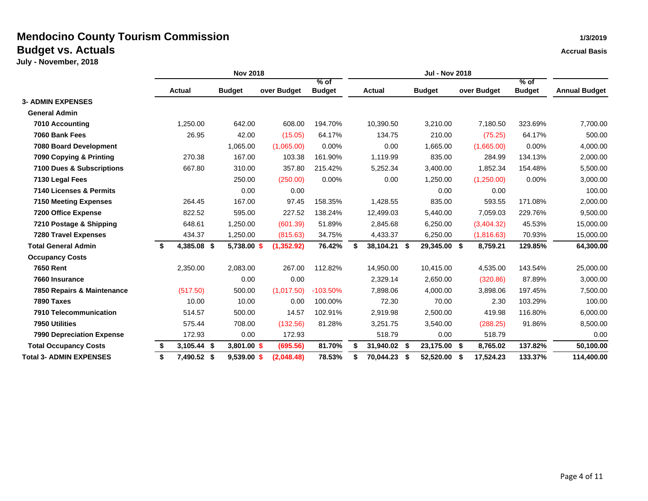|                                  |    |               | <b>Nov 2018</b> |             |                         |    |               |      |               |    |             |                         |                      |
|----------------------------------|----|---------------|-----------------|-------------|-------------------------|----|---------------|------|---------------|----|-------------|-------------------------|----------------------|
|                                  |    | <b>Actual</b> | <b>Budget</b>   | over Budget | $%$ of<br><b>Budget</b> |    | <b>Actual</b> |      | <b>Budget</b> |    | over Budget | $%$ of<br><b>Budget</b> | <b>Annual Budget</b> |
| <b>3- ADMIN EXPENSES</b>         |    |               |                 |             |                         |    |               |      |               |    |             |                         |                      |
| <b>General Admin</b>             |    |               |                 |             |                         |    |               |      |               |    |             |                         |                      |
| 7010 Accounting                  |    | 1,250.00      | 642.00          | 608.00      | 194.70%                 |    | 10,390.50     |      | 3,210.00      |    | 7,180.50    | 323.69%                 | 7,700.00             |
| 7060 Bank Fees                   |    | 26.95         | 42.00           | (15.05)     | 64.17%                  |    | 134.75        |      | 210.00        |    | (75.25)     | 64.17%                  | 500.00               |
| 7080 Board Development           |    |               | 1,065.00        | (1,065.00)  | 0.00%                   |    | 0.00          |      | 1,665.00      |    | (1,665.00)  | 0.00%                   | 4,000.00             |
| 7090 Copying & Printing          |    | 270.38        | 167.00          | 103.38      | 161.90%                 |    | 1,119.99      |      | 835.00        |    | 284.99      | 134.13%                 | 2,000.00             |
| 7100 Dues & Subscriptions        |    | 667.80        | 310.00          | 357.80      | 215.42%                 |    | 5,252.34      |      | 3,400.00      |    | 1,852.34    | 154.48%                 | 5,500.00             |
| 7130 Legal Fees                  |    |               | 250.00          | (250.00)    | $0.00\%$                |    | 0.00          |      | 1,250.00      |    | (1,250.00)  | 0.00%                   | 3,000.00             |
| 7140 Licenses & Permits          |    |               | 0.00            | 0.00        |                         |    |               |      | 0.00          |    | 0.00        |                         | 100.00               |
| <b>7150 Meeting Expenses</b>     |    | 264.45        | 167.00          | 97.45       | 158.35%                 |    | 1,428.55      |      | 835.00        |    | 593.55      | 171.08%                 | 2,000.00             |
| 7200 Office Expense              |    | 822.52        | 595.00          | 227.52      | 138.24%                 |    | 12,499.03     |      | 5,440.00      |    | 7,059.03    | 229.76%                 | 9,500.00             |
| 7210 Postage & Shipping          |    | 648.61        | 1,250.00        | (601.39)    | 51.89%                  |    | 2,845.68      |      | 6,250.00      |    | (3,404.32)  | 45.53%                  | 15,000.00            |
| <b>7280 Travel Expenses</b>      |    | 434.37        | 1,250.00        | (815.63)    | 34.75%                  |    | 4,433.37      |      | 6,250.00      |    | (1,816.63)  | 70.93%                  | 15,000.00            |
| <b>Total General Admin</b>       | Ŝ. | 4,385.08 \$   | 5,738.00 \$     | (1, 352.92) | 76.42%                  | S. | 38,104.21     | - \$ | 29,345.00 \$  |    | 8,759.21    | 129.85%                 | 64,300.00            |
| <b>Occupancy Costs</b>           |    |               |                 |             |                         |    |               |      |               |    |             |                         |                      |
| <b>7650 Rent</b>                 |    | 2,350.00      | 2,083.00        | 267.00      | 112.82%                 |    | 14,950.00     |      | 10,415.00     |    | 4,535.00    | 143.54%                 | 25,000.00            |
| 7660 Insurance                   |    |               | 0.00            | 0.00        |                         |    | 2,329.14      |      | 2,650.00      |    | (320.86)    | 87.89%                  | 3,000.00             |
| 7850 Repairs & Maintenance       |    | (517.50)      | 500.00          | (1,017.50)  | $-103.50%$              |    | 7,898.06      |      | 4,000.00      |    | 3,898.06    | 197.45%                 | 7,500.00             |
| 7890 Taxes                       |    | 10.00         | 10.00           | 0.00        | 100.00%                 |    | 72.30         |      | 70.00         |    | 2.30        | 103.29%                 | 100.00               |
| 7910 Telecommunication           |    | 514.57        | 500.00          | 14.57       | 102.91%                 |    | 2,919.98      |      | 2,500.00      |    | 419.98      | 116.80%                 | 6,000.00             |
| 7950 Utilities                   |    | 575.44        | 708.00          | (132.56)    | 81.28%                  |    | 3,251.75      |      | 3,540.00      |    | (288.25)    | 91.86%                  | 8,500.00             |
| <b>7990 Depreciation Expense</b> |    | 172.93        | 0.00            | 172.93      |                         |    | 518.79        |      | 0.00          |    | 518.79      |                         | 0.00                 |
| <b>Total Occupancy Costs</b>     | \$ | 3,105.44 \$   | 3,801.00 \$     | (695.56)    | 81.70%                  |    | 31,940.02 \$  |      | 23,175.00 \$  |    | 8.765.02    | 137.82%                 | 50,100.00            |
| <b>Total 3- ADMIN EXPENSES</b>   | \$ | 7,490.52 \$   | $9,539.00$ \$   | (2,048.48)  | 78.53%                  | S. | 70,044.23     | -S   | 52,520.00     | -S | 17.524.23   | 133.37%                 | 114,400.00           |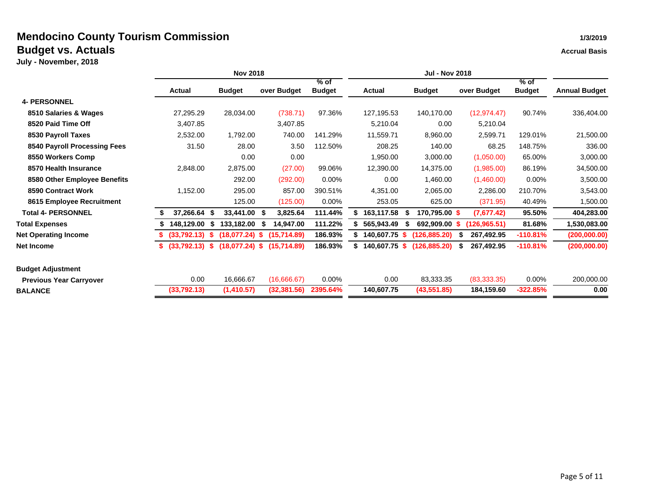|                                |                   |       | <b>Nov 2018</b>        |                 |                         |                     | <b>Jul - Nov 2018</b> |                 |                         |                      |  |  |  |
|--------------------------------|-------------------|-------|------------------------|-----------------|-------------------------|---------------------|-----------------------|-----------------|-------------------------|----------------------|--|--|--|
|                                | Actual            |       | <b>Budget</b>          | over Budget     | $%$ of<br><b>Budget</b> | <b>Actual</b>       | <b>Budget</b>         | over Budget     | $%$ of<br><b>Budget</b> | <b>Annual Budget</b> |  |  |  |
| <b>4- PERSONNEL</b>            |                   |       |                        |                 |                         |                     |                       |                 |                         |                      |  |  |  |
| 8510 Salaries & Wages          | 27,295.29         |       | 28,034.00              | (738.71)        | 97.36%                  | 127,195.53          | 140,170.00            | (12, 974.47)    | 90.74%                  | 336,404.00           |  |  |  |
| 8520 Paid Time Off             | 3,407.85          |       |                        | 3,407.85        |                         | 5,210.04            | 0.00                  | 5,210.04        |                         |                      |  |  |  |
| 8530 Payroll Taxes             | 2,532.00          |       | 1,792.00               | 740.00          | 141.29%                 | 11,559.71           | 8,960.00              | 2,599.71        | 129.01%                 | 21,500.00            |  |  |  |
| 8540 Payroll Processing Fees   |                   | 31.50 | 28.00                  | 3.50            | 112.50%                 | 208.25              | 140.00                | 68.25           | 148.75%                 | 336.00               |  |  |  |
| 8550 Workers Comp              |                   |       | 0.00                   | 0.00            |                         | 1,950.00            | 3,000.00              | (1,050.00)      | 65.00%                  | 3,000.00             |  |  |  |
| 8570 Health Insurance          | 2,848.00          |       | 2,875.00               | (27.00)         | 99.06%                  | 12,390.00           | 14,375.00             | (1,985.00)      | 86.19%                  | 34,500.00            |  |  |  |
| 8580 Other Employee Benefits   |                   |       | 292.00                 | (292.00)        | 0.00%                   | 0.00                | 1,460.00              | (1,460.00)      | 0.00%                   | 3,500.00             |  |  |  |
| 8590 Contract Work             | 1,152.00          |       | 295.00                 | 857.00          | 390.51%                 | 4,351.00            | 2,065.00              | 2,286.00        | 210.70%                 | 3,543.00             |  |  |  |
| 8615 Employee Recruitment      |                   |       | 125.00                 | (125.00)        | $0.00\%$                | 253.05              | 625.00                | (371.95)        | 40.49%                  | 1,500.00             |  |  |  |
| <b>Total 4- PERSONNEL</b>      | 37,266.64 \$      |       | 33,441.00 \$           | 3,825.64        | 111.44%                 | 163,117.58          | 170,795.00 \$<br>S.   | (7,677.42)      | 95.50%                  | 404,283.00           |  |  |  |
| <b>Total Expenses</b>          | 148,129.00        |       | \$<br>133,182.00       | 14,947.00<br>\$ | 111.22%                 | 565,943.49          | 692,909.00            | (126, 965.51)   | 81.68%                  | 1,530,083.00         |  |  |  |
| <b>Net Operating Income</b>    | (33,792,13)       |       | (18,077.24) \$         | (15,714.89)     | 186.93%                 | 140,607.75          | (126, 885.20)<br>S    | 267,492.95      | $-110.81%$              | (200,000.00)         |  |  |  |
| Net Income                     | (33,792.13)<br>s. |       | $(18,077.24)$ \$<br>s. | (15,714.89)     | 186.93%                 | 140,607.75 \$<br>S. | (126, 885.20)         | 267,492.95<br>S | $-110.81%$              | (200,000.00)         |  |  |  |
| <b>Budget Adjustment</b>       |                   |       |                        |                 |                         |                     |                       |                 |                         |                      |  |  |  |
| <b>Previous Year Carryover</b> |                   | 0.00  | 16,666.67              | (16,666.67)     | $0.00\%$                | 0.00                | 83,333.35             | (83, 333.35)    | 0.00%                   | 200,000.00           |  |  |  |
| <b>BALANCE</b>                 | (33,792.13)       |       | (1,410.57)             | (32, 381.56)    | 2395.64%                | 140,607.75          | (43, 551.85)          | 184,159.60      | $-322.85%$              | 0.00                 |  |  |  |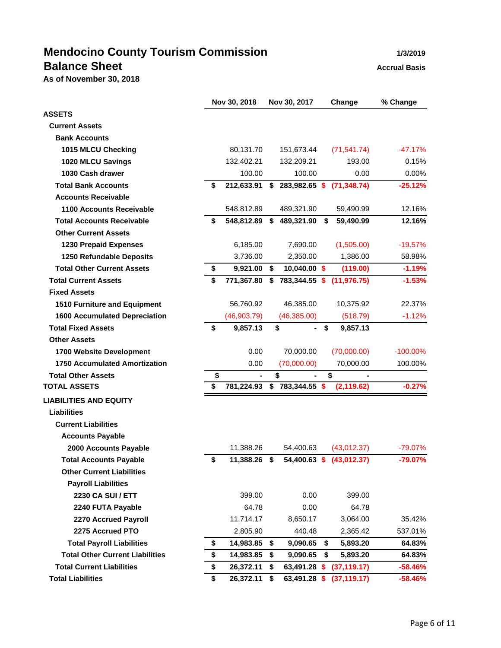# **Mendocino County Tourism Commission 1/3/2019 Balance Sheet Accrual Basis Accrual Basis**

**As of November 30, 2018**

|                                        | Nov 30, 2018       | Nov 30, 2017                  |    | Change                   | % Change    |
|----------------------------------------|--------------------|-------------------------------|----|--------------------------|-------------|
| <b>ASSETS</b>                          |                    |                               |    |                          |             |
| <b>Current Assets</b>                  |                    |                               |    |                          |             |
| <b>Bank Accounts</b>                   |                    |                               |    |                          |             |
| 1015 MLCU Checking                     | 80,131.70          | 151,673.44                    |    | (71, 541.74)             | $-47.17%$   |
| 1020 MLCU Savings                      | 132,402.21         | 132,209.21                    |    | 193.00                   | 0.15%       |
| 1030 Cash drawer                       | 100.00             | 100.00                        |    | 0.00                     | 0.00%       |
| <b>Total Bank Accounts</b>             | \$<br>212,633.91   | \$<br>283,982.65 \$           |    | (71, 348.74)             | $-25.12%$   |
| <b>Accounts Receivable</b>             |                    |                               |    |                          |             |
| 1100 Accounts Receivable               | 548,812.89         | 489,321.90                    |    | 59,490.99                | 12.16%      |
| <b>Total Accounts Receivable</b>       | \$<br>548,812.89   | \$<br>489,321.90              | S  | 59,490.99                | 12.16%      |
| <b>Other Current Assets</b>            |                    |                               |    |                          |             |
| <b>1230 Prepaid Expenses</b>           | 6,185.00           | 7,690.00                      |    | (1,505.00)               | $-19.57%$   |
| 1250 Refundable Deposits               | 3,736.00           | 2,350.00                      |    | 1,386.00                 | 58.98%      |
| <b>Total Other Current Assets</b>      | \$<br>9,921.00     | \$<br>10,040.00 \$            |    | (119.00)                 | $-1.19%$    |
| <b>Total Current Assets</b>            | \$<br>771,367.80   | \$<br>783,344.55 \$           |    | (11, 976.75)             | $-1.53%$    |
| <b>Fixed Assets</b>                    |                    |                               |    |                          |             |
| 1510 Furniture and Equipment           | 56,760.92          | 46,385.00                     |    | 10,375.92                | 22.37%      |
| <b>1600 Accumulated Depreciation</b>   | (46,903.79)        | (46, 385.00)                  |    | (518.79)                 | $-1.12%$    |
| <b>Total Fixed Assets</b>              | \$<br>9,857.13     | \$<br>$\blacksquare$          | \$ | 9,857.13                 |             |
| <b>Other Assets</b>                    |                    |                               |    |                          |             |
| 1700 Website Development               | 0.00               | 70,000.00                     |    | (70,000.00)              | $-100.00\%$ |
| <b>1750 Accumulated Amortization</b>   | 0.00               | (70,000.00)                   |    | 70,000.00                | 100.00%     |
| <b>Total Other Assets</b>              | \$                 | \$                            |    | \$                       |             |
| <b>TOTAL ASSETS</b>                    | \$<br>781,224.93   | $\overline{\$}$ 783,344.55 \$ |    | (2, 119.62)              | $-0.27%$    |
| <b>LIABILITIES AND EQUITY</b>          |                    |                               |    |                          |             |
| <b>Liabilities</b>                     |                    |                               |    |                          |             |
| <b>Current Liabilities</b>             |                    |                               |    |                          |             |
| <b>Accounts Payable</b>                |                    |                               |    |                          |             |
| 2000 Accounts Payable                  | 11,388.26          | 54,400.63                     |    | (43,012.37)              | $-79.07%$   |
| <b>Total Accounts Payable</b>          | \$<br>11,388.26 \$ |                               |    | 54,400.63 \$ (43,012.37) | $-79.07%$   |
| <b>Other Current Liabilities</b>       |                    |                               |    |                          |             |
| <b>Payroll Liabilities</b>             |                    |                               |    |                          |             |
| 2230 CA SUI / ETT                      | 399.00             | 0.00                          |    | 399.00                   |             |
| 2240 FUTA Payable                      | 64.78              | 0.00                          |    | 64.78                    |             |
| 2270 Accrued Payroll                   | 11,714.17          | 8,650.17                      |    | 3,064.00                 | 35.42%      |
| 2275 Accrued PTO                       | 2,805.90           | 440.48                        |    | 2,365.42                 | 537.01%     |
| <b>Total Payroll Liabilities</b>       | \$<br>14,983.85 \$ | 9,090.65                      | \$ | 5,893.20                 | 64.83%      |
| <b>Total Other Current Liabilities</b> | \$<br>14,983.85    | \$<br>9,090.65                | \$ | 5,893.20                 | 64.83%      |
| <b>Total Current Liabilities</b>       | \$<br>26,372.11    | \$<br>63,491.28 \$            |    | (37, 119.17)             | $-58.46%$   |
| <b>Total Liabilities</b>               | \$<br>26,372.11    | \$                            |    | 63,491.28 \$ (37,119.17) | $-58.46%$   |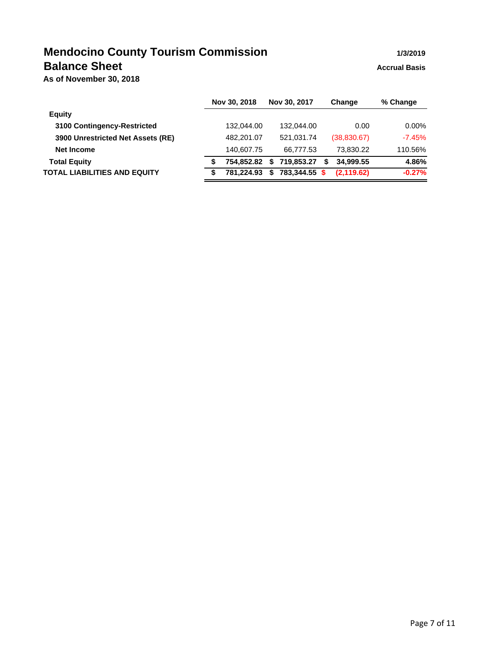## **Mendocino County Tourism Commission 1/3/2019 Balance Sheet Accrual Basis Accrual Basis**

**As of November 30, 2018**

|                                     |   | Nov 30, 2018 | Nov 30, 2017     | Change         | % Change |
|-------------------------------------|---|--------------|------------------|----------------|----------|
| <b>Equity</b>                       |   |              |                  |                |          |
| 3100 Contingency-Restricted         |   | 132.044.00   | 132.044.00       | 0.00           | $0.00\%$ |
| 3900 Unrestricted Net Assets (RE)   |   | 482,201.07   | 521.031.74       | (38,830.67)    | $-7.45%$ |
| Net Income                          |   | 140,607.75   | 66.777.53        | 73,830.22      | 110.56%  |
| <b>Total Equity</b>                 | S | 754.852.82   | 719.853.27<br>\$ | 34.999.55<br>S | 4.86%    |
| <b>TOTAL LIABILITIES AND EQUITY</b> | S | 781.224.93   | 783,344.55<br>\$ | (2, 119.62)    | $-0.27%$ |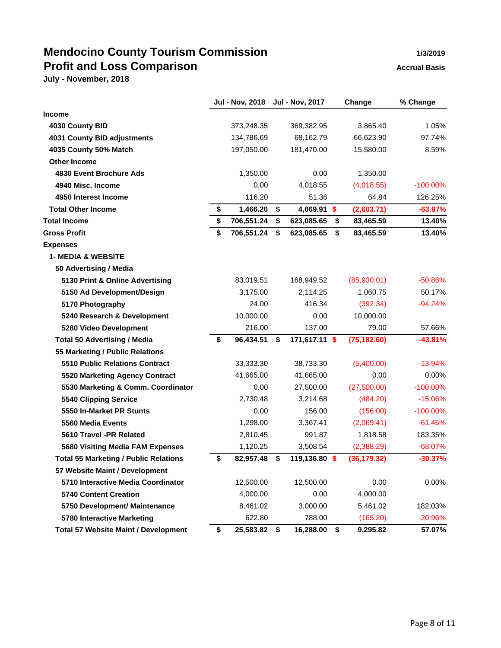# **Mendocino County Tourism Commission 1/3/2019 Profit and Loss Comparison Accrual Basis**

**July - November, 2018**

|                                              | <b>Jul - Nov, 2018</b> | <b>Jul - Nov, 2017</b> | Change          | % Change    |
|----------------------------------------------|------------------------|------------------------|-----------------|-------------|
| <b>Income</b>                                |                        |                        |                 |             |
| 4030 County BID                              | 373,248.35             | 369,382.95             | 3,865.40        | 1.05%       |
| 4031 County BID adjustments                  | 134,786.69             | 68,162.79              | 66,623.90       | 97.74%      |
| 4035 County 50% Match                        | 197,050.00             | 181,470.00             | 15,580.00       | 8.59%       |
| <b>Other Income</b>                          |                        |                        |                 |             |
| 4830 Event Brochure Ads                      | 1,350.00               | 0.00                   | 1,350.00        |             |
| 4940 Misc. Income                            | 0.00                   | 4,018.55               | (4,018.55)      | $-100.00\%$ |
| 4950 Interest Income                         | 116.20                 | 51.36                  | 64.84           | 126.25%     |
| <b>Total Other Income</b>                    | \$<br>1,466.20         | \$<br>4,069.91 \$      | (2,603.71)      | $-63.97%$   |
| <b>Total Income</b>                          | \$<br>706,551.24       | \$<br>623,085.65       | \$<br>83,465.59 | 13.40%      |
| <b>Gross Profit</b>                          | \$<br>706,551.24       | \$<br>623,085.65       | \$<br>83,465.59 | 13.40%      |
| <b>Expenses</b>                              |                        |                        |                 |             |
| <b>1- MEDIA &amp; WEBSITE</b>                |                        |                        |                 |             |
| 50 Advertising / Media                       |                        |                        |                 |             |
| 5130 Print & Online Advertising              | 83,019.51              | 168,949.52             | (85,930.01)     | $-50.86%$   |
| 5150 Ad Development/Design                   | 3,175.00               | 2,114.25               | 1,060.75        | 50.17%      |
| 5170 Photography                             | 24.00                  | 416.34                 | (392.34)        | $-94.24%$   |
| 5240 Research & Development                  | 10,000.00              | 0.00                   | 10,000.00       |             |
| 5280 Video Development                       | 216.00                 | 137.00                 | 79.00           | 57.66%      |
| <b>Total 50 Advertising / Media</b>          | \$<br>96,434.51        | \$<br>171,617.11 \$    | (75, 182.60)    | $-43.81%$   |
| 55 Marketing / Public Relations              |                        |                        |                 |             |
| <b>5510 Public Relations Contract</b>        | 33,333.30              | 38,733.30              | (5,400.00)      | $-13.94%$   |
| 5520 Marketing Agency Contract               | 41,665.00              | 41,665.00              | 0.00            | 0.00%       |
| 5530 Marketing & Comm. Coordinator           | 0.00                   | 27,500.00              | (27,500.00)     | $-100.00\%$ |
| 5540 Clipping Service                        | 2,730.48               | 3,214.68               | (484.20)        | $-15.06%$   |
| 5550 In-Market PR Stunts                     | 0.00                   | 156.00                 | (156.00)        | $-100.00\%$ |
| 5560 Media Events                            | 1,298.00               | 3,367.41               | (2,069.41)      | $-61.45%$   |
| 5610 Travel -PR Related                      | 2,810.45               | 991.87                 | 1,818.58        | 183.35%     |
| 5680 Visiting Media FAM Expenses             | 1,120.25               | 3,508.54               | (2,388.29)      | $-68.07%$   |
| <b>Total 55 Marketing / Public Relations</b> | \$<br>82,957.48        | \$<br>119,136.80 \$    | (36, 179.32)    | $-30.37%$   |
| 57 Website Maint / Development               |                        |                        |                 |             |
| 5710 Interactive Media Coordinator           | 12,500.00              | 12,500.00              | 0.00            | 0.00%       |
| <b>5740 Content Creation</b>                 | 4,000.00               | 0.00                   | 4,000.00        |             |
| 5750 Development/ Maintenance                | 8,461.02               | 3,000.00               | 5,461.02        | 182.03%     |
| 5780 Interactive Marketing                   | 622.80                 | 788.00                 | (165.20)        | $-20.96%$   |
| <b>Total 57 Website Maint / Development</b>  | \$<br>25,583.82        | \$<br>16,288.00        | \$<br>9,295.82  | 57.07%      |

Page 8 of 11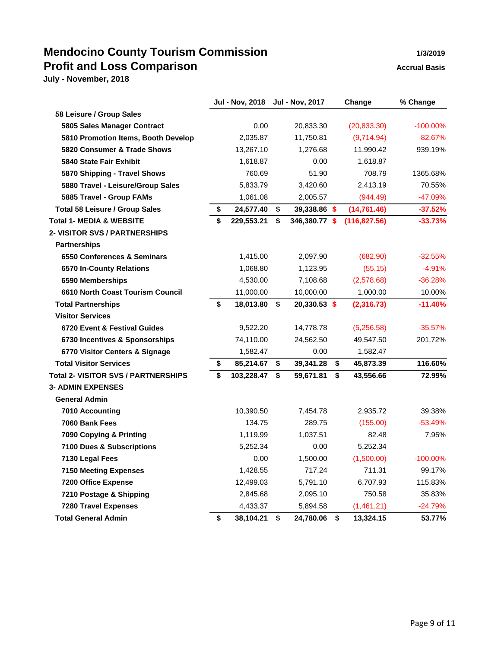## **Mendocino County Tourism Commission 1/3/2019 Profit and Loss Comparison Accrual Basis**

|                                            | Jul - Nov, 2018 Jul - Nov, 2017 |                     | Change          | % Change    |
|--------------------------------------------|---------------------------------|---------------------|-----------------|-------------|
| 58 Leisure / Group Sales                   |                                 |                     |                 |             |
| 5805 Sales Manager Contract                | 0.00                            | 20,833.30           | (20, 833.30)    | $-100.00\%$ |
| 5810 Promotion Items, Booth Develop        | 2,035.87                        | 11,750.81           | (9,714.94)      | $-82.67%$   |
| 5820 Consumer & Trade Shows                | 13,267.10                       | 1,276.68            | 11,990.42       | 939.19%     |
| 5840 State Fair Exhibit                    | 1,618.87                        | 0.00                | 1,618.87        |             |
| 5870 Shipping - Travel Shows               | 760.69                          | 51.90               | 708.79          | 1365.68%    |
| 5880 Travel - Leisure/Group Sales          | 5,833.79                        | 3,420.60            | 2,413.19        | 70.55%      |
| 5885 Travel - Group FAMs                   | 1,061.08                        | 2,005.57            | (944.49)        | -47.09%     |
| <b>Total 58 Leisure / Group Sales</b>      | \$<br>24,577.40                 | \$<br>39,338.86 \$  | (14, 761.46)    | $-37.52%$   |
| <b>Total 1- MEDIA &amp; WEBSITE</b>        | \$<br>229,553.21                | \$<br>346,380.77 \$ | (116, 827.56)   | $-33.73%$   |
| 2- VISITOR SVS / PARTNERSHIPS              |                                 |                     |                 |             |
| <b>Partnerships</b>                        |                                 |                     |                 |             |
| 6550 Conferences & Seminars                | 1,415.00                        | 2,097.90            | (682.90)        | $-32.55%$   |
| 6570 In-County Relations                   | 1,068.80                        | 1,123.95            | (55.15)         | $-4.91%$    |
| 6590 Memberships                           | 4,530.00                        | 7,108.68            | (2,578.68)      | $-36.28%$   |
| 6610 North Coast Tourism Council           | 11,000.00                       | 10,000.00           | 1,000.00        | 10.00%      |
| <b>Total Partnerships</b>                  | \$<br>18,013.80                 | \$<br>20,330.53 \$  | (2,316.73)      | $-11.40%$   |
| <b>Visitor Services</b>                    |                                 |                     |                 |             |
| 6720 Event & Festival Guides               | 9,522.20                        | 14,778.78           | (5,256.58)      | $-35.57%$   |
| 6730 Incentives & Sponsorships             | 74,110.00                       | 24,562.50           | 49,547.50       | 201.72%     |
| 6770 Visitor Centers & Signage             | 1,582.47                        | 0.00                | 1,582.47        |             |
| <b>Total Visitor Services</b>              | \$<br>85,214.67                 | \$<br>39,341.28     | \$<br>45,873.39 | 116.60%     |
| <b>Total 2- VISITOR SVS / PARTNERSHIPS</b> | \$<br>103,228.47                | \$<br>59,671.81     | \$<br>43,556.66 | 72.99%      |
| <b>3- ADMIN EXPENSES</b>                   |                                 |                     |                 |             |
| <b>General Admin</b>                       |                                 |                     |                 |             |
| 7010 Accounting                            | 10,390.50                       | 7,454.78            | 2,935.72        | 39.38%      |
| 7060 Bank Fees                             | 134.75                          | 289.75              | (155.00)        | $-53.49%$   |
| 7090 Copying & Printing                    | 1,119.99                        | 1,037.51            | 82.48           | 7.95%       |
| 7100 Dues & Subscriptions                  | 5,252.34                        | 0.00                | 5,252.34        |             |
| 7130 Legal Fees                            | 0.00                            | 1,500.00            | (1,500.00)      | $-100.00\%$ |
| <b>7150 Meeting Expenses</b>               | 1,428.55                        | 717.24              | 711.31          | 99.17%      |
| <b>7200 Office Expense</b>                 | 12,499.03                       | 5,791.10            | 6,707.93        | 115.83%     |
| 7210 Postage & Shipping                    | 2,845.68                        | 2,095.10            | 750.58          | 35.83%      |
| <b>7280 Travel Expenses</b>                | 4,433.37                        | 5,894.58            | (1,461.21)      | $-24.79%$   |
| <b>Total General Admin</b>                 | \$<br>38,104.21                 | \$<br>24,780.06     | \$<br>13,324.15 | 53.77%      |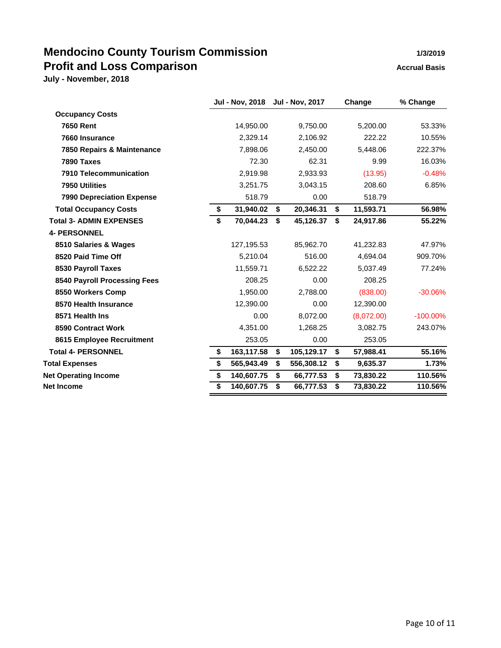# **Mendocino County Tourism Commission 1/3/2019 Profit and Loss Comparison Accrual Basis**

|                  |                        |            |                        | Change     | % Change    |
|------------------|------------------------|------------|------------------------|------------|-------------|
|                  |                        |            |                        |            |             |
| 14,950.00        |                        | 9,750.00   |                        | 5,200.00   | 53.33%      |
| 2,329.14         |                        | 2,106.92   |                        | 222.22     | 10.55%      |
| 7,898.06         |                        | 2,450.00   |                        | 5,448.06   | 222.37%     |
| 72.30            |                        | 62.31      |                        | 9.99       | 16.03%      |
| 2,919.98         |                        | 2,933.93   |                        | (13.95)    | $-0.48%$    |
| 3,251.75         |                        | 3,043.15   |                        | 208.60     | 6.85%       |
| 518.79           |                        | 0.00       |                        | 518.79     |             |
| \$<br>31,940.02  | \$                     | 20,346.31  | \$                     | 11,593.71  | 56.98%      |
| \$<br>70,044.23  | \$                     | 45,126.37  | \$                     | 24,917.86  | 55.22%      |
|                  |                        |            |                        |            |             |
| 127,195.53       |                        | 85,962.70  |                        | 41,232.83  | 47.97%      |
| 5,210.04         |                        | 516.00     |                        | 4,694.04   | 909.70%     |
| 11,559.71        |                        | 6,522.22   |                        | 5,037.49   | 77.24%      |
| 208.25           |                        | 0.00       |                        | 208.25     |             |
| 1,950.00         |                        | 2,788.00   |                        | (838.00)   | $-30.06%$   |
| 12,390.00        |                        | 0.00       |                        | 12.390.00  |             |
| 0.00             |                        | 8,072.00   |                        | (8,072.00) | $-100.00\%$ |
| 4,351.00         |                        | 1,268.25   |                        | 3,082.75   | 243.07%     |
| 253.05           |                        | 0.00       |                        | 253.05     |             |
| \$<br>163,117.58 | \$                     | 105,129.17 | \$                     | 57,988.41  | 55.16%      |
| \$<br>565,943.49 | \$                     | 556,308.12 | \$                     | 9,635.37   | 1.73%       |
| \$<br>140,607.75 | \$                     | 66,777.53  | \$                     | 73,830.22  | 110.56%     |
| \$<br>140,607.75 | \$                     | 66,777.53  | \$                     | 73,830.22  | 110.56%     |
|                  | <b>Jul - Nov, 2018</b> |            | <b>Jul - Nov, 2017</b> |            |             |